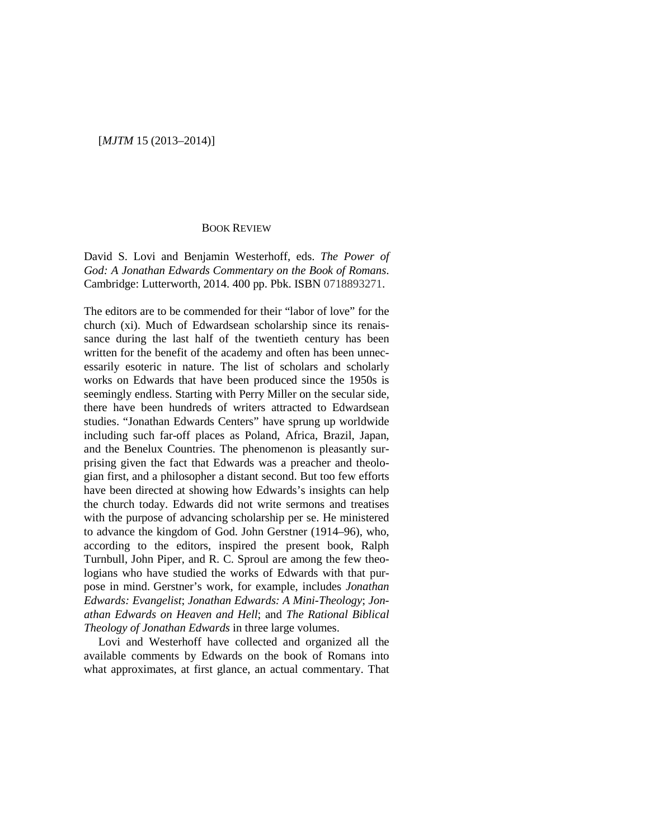## [*MJTM* 15 (2013–2014)]

## BOOK REVIEW

David S. Lovi and Benjamin Westerhoff, eds. *The Power of God: A Jonathan Edwards Commentary on the Book of Romans*. Cambridge: Lutterworth, 2014. 400 pp. Pbk. ISBN 0718893271.

The editors are to be commended for their "labor of love" for the church (xi). Much of Edwardsean scholarship since its renaissance during the last half of the twentieth century has been written for the benefit of the academy and often has been unnecessarily esoteric in nature. The list of scholars and scholarly works on Edwards that have been produced since the 1950s is seemingly endless. Starting with Perry Miller on the secular side, there have been hundreds of writers attracted to Edwardsean studies. "Jonathan Edwards Centers" have sprung up worldwide including such far-off places as Poland, Africa, Brazil, Japan, and the Benelux Countries. The phenomenon is pleasantly surprising given the fact that Edwards was a preacher and theologian first, and a philosopher a distant second. But too few efforts have been directed at showing how Edwards's insights can help the church today. Edwards did not write sermons and treatises with the purpose of advancing scholarship per se. He ministered to advance the kingdom of God. John Gerstner (1914–96), who, according to the editors, inspired the present book, Ralph Turnbull, John Piper, and R. C. Sproul are among the few theologians who have studied the works of Edwards with that purpose in mind. Gerstner's work, for example, includes *Jonathan Edwards: Evangelist*; *Jonathan Edwards: A Mini-Theology*; *Jonathan Edwards on Heaven and Hell*; and *The Rational Biblical Theology of Jonathan Edwards* in three large volumes.

Lovi and Westerhoff have collected and organized all the available comments by Edwards on the book of Romans into what approximates, at first glance, an actual commentary. That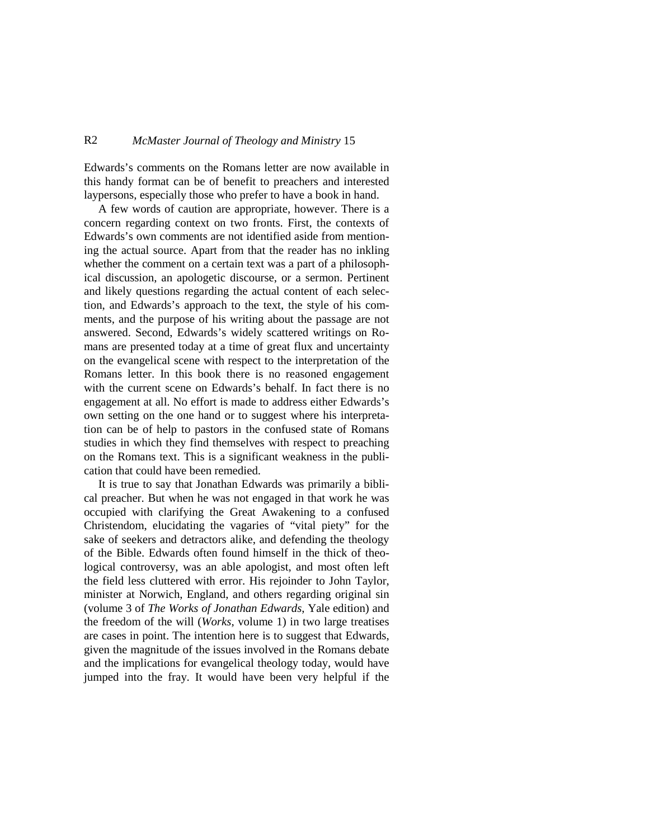## R2 *McMaster Journal of Theology and Ministry* 15

Edwards's comments on the Romans letter are now available in this handy format can be of benefit to preachers and interested laypersons, especially those who prefer to have a book in hand.

A few words of caution are appropriate, however. There is a concern regarding context on two fronts. First, the contexts of Edwards's own comments are not identified aside from mentioning the actual source. Apart from that the reader has no inkling whether the comment on a certain text was a part of a philosophical discussion, an apologetic discourse, or a sermon. Pertinent and likely questions regarding the actual content of each selection, and Edwards's approach to the text, the style of his comments, and the purpose of his writing about the passage are not answered. Second, Edwards's widely scattered writings on Romans are presented today at a time of great flux and uncertainty on the evangelical scene with respect to the interpretation of the Romans letter. In this book there is no reasoned engagement with the current scene on Edwards's behalf. In fact there is no engagement at all. No effort is made to address either Edwards's own setting on the one hand or to suggest where his interpretation can be of help to pastors in the confused state of Romans studies in which they find themselves with respect to preaching on the Romans text. This is a significant weakness in the publication that could have been remedied.

It is true to say that Jonathan Edwards was primarily a biblical preacher. But when he was not engaged in that work he was occupied with clarifying the Great Awakening to a confused Christendom, elucidating the vagaries of "vital piety" for the sake of seekers and detractors alike, and defending the theology of the Bible. Edwards often found himself in the thick of theological controversy, was an able apologist, and most often left the field less cluttered with error. His rejoinder to John Taylor, minister at Norwich, England, and others regarding original sin (volume 3 of *The Works of Jonathan Edwards*, Yale edition) and the freedom of the will (*Works*, volume 1) in two large treatises are cases in point. The intention here is to suggest that Edwards, given the magnitude of the issues involved in the Romans debate and the implications for evangelical theology today, would have jumped into the fray. It would have been very helpful if the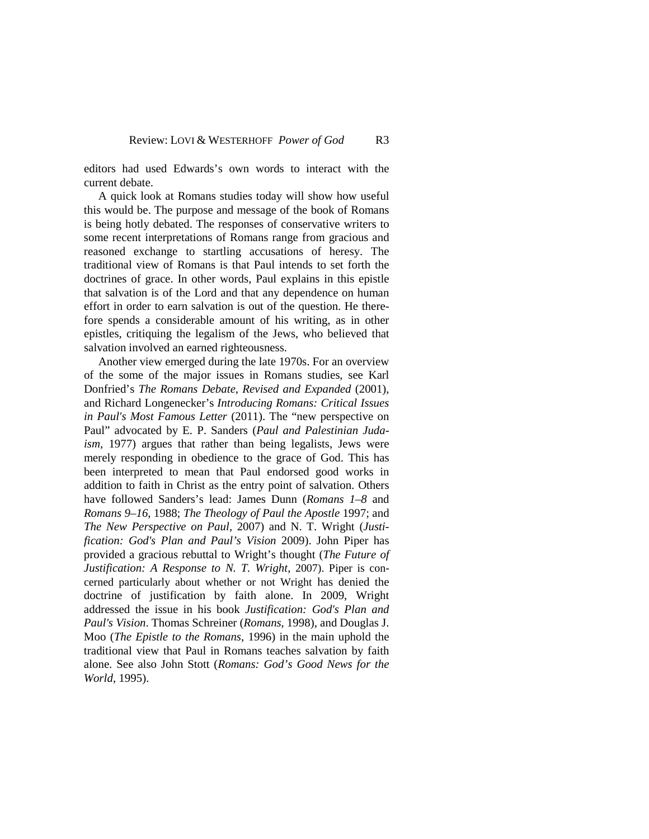editors had used Edwards's own words to interact with the current debate.

A quick look at Romans studies today will show how useful this would be. The purpose and message of the book of Romans is being hotly debated. The responses of conservative writers to some recent interpretations of Romans range from gracious and reasoned exchange to startling accusations of heresy. The traditional view of Romans is that Paul intends to set forth the doctrines of grace. In other words, Paul explains in this epistle that salvation is of the Lord and that any dependence on human effort in order to earn salvation is out of the question. He therefore spends a considerable amount of his writing, as in other epistles, critiquing the legalism of the Jews, who believed that salvation involved an earned righteousness.

Another view emerged during the late 1970s. For an overview of the some of the major issues in Romans studies, see Karl Donfried's *The Romans Debate, Revised and Expanded* (2001), and Richard Longenecker's *Introducing Romans: Critical Issues in Paul's Most Famous Letter* (2011). The "new perspective on Paul" advocated by E. P. Sanders (*Paul and Palestinian Judaism*, 1977) argues that rather than being legalists, Jews were merely responding in obedience to the grace of God. This has been interpreted to mean that Paul endorsed good works in addition to faith in Christ as the entry point of salvation. Others have followed Sanders's lead: James Dunn (*Romans 1–8* and *Romans 9–16*, 1988; *The Theology of Paul the Apostle* 1997; and *The New Perspective on Paul*, 2007) and N. T. Wright (*Justification: God's Plan and Paul's Vision* 2009). John Piper has provided a gracious rebuttal to Wright's thought (*The Future of Justification: A Response to N. T. Wright*, 2007). Piper is concerned particularly about whether or not Wright has denied the doctrine of justification by faith alone. In 2009, Wright addressed the issue in his book *Justification: God's Plan and Paul's Vision*. Thomas Schreiner (*Romans*, 1998), and Douglas J. Moo (*The Epistle to the Romans*, 1996) in the main uphold the traditional view that Paul in Romans teaches salvation by faith alone. See also John Stott (*Romans: God's Good News for the World*, 1995).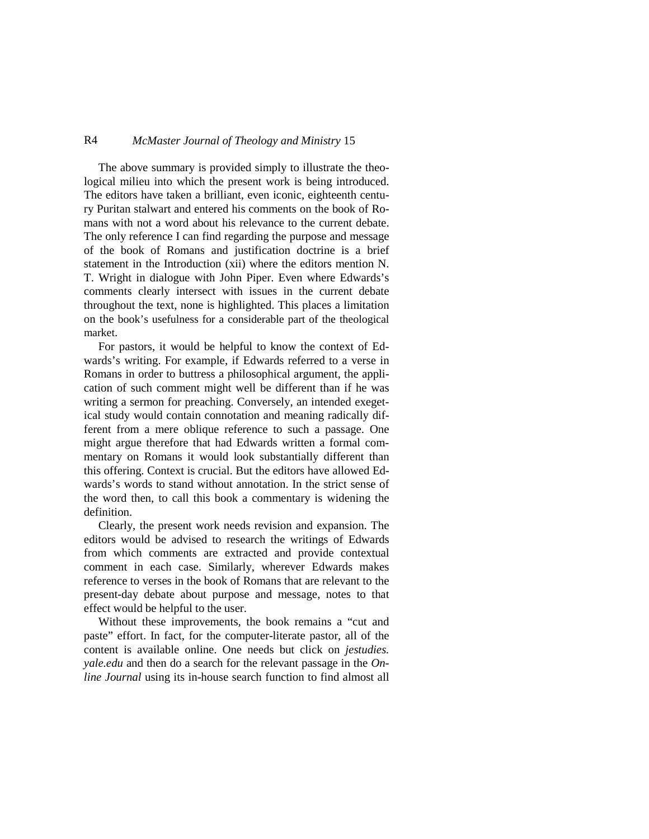## R4 *McMaster Journal of Theology and Ministry* 15

The above summary is provided simply to illustrate the theological milieu into which the present work is being introduced. The editors have taken a brilliant, even iconic, eighteenth century Puritan stalwart and entered his comments on the book of Romans with not a word about his relevance to the current debate. The only reference I can find regarding the purpose and message of the book of Romans and justification doctrine is a brief statement in the Introduction (xii) where the editors mention N. T. Wright in dialogue with John Piper. Even where Edwards's comments clearly intersect with issues in the current debate throughout the text, none is highlighted. This places a limitation on the book's usefulness for a considerable part of the theological market.

For pastors, it would be helpful to know the context of Edwards's writing. For example, if Edwards referred to a verse in Romans in order to buttress a philosophical argument, the application of such comment might well be different than if he was writing a sermon for preaching. Conversely, an intended exegetical study would contain connotation and meaning radically different from a mere oblique reference to such a passage. One might argue therefore that had Edwards written a formal commentary on Romans it would look substantially different than this offering. Context is crucial. But the editors have allowed Edwards's words to stand without annotation. In the strict sense of the word then, to call this book a commentary is widening the definition.

Clearly, the present work needs revision and expansion. The editors would be advised to research the writings of Edwards from which comments are extracted and provide contextual comment in each case. Similarly, wherever Edwards makes reference to verses in the book of Romans that are relevant to the present-day debate about purpose and message, notes to that effect would be helpful to the user.

Without these improvements, the book remains a "cut and paste" effort. In fact, for the computer-literate pastor, all of the content is available online. One needs but click on *jestudies. yale.edu* and then do a search for the relevant passage in the *Online Journal* using its in-house search function to find almost all